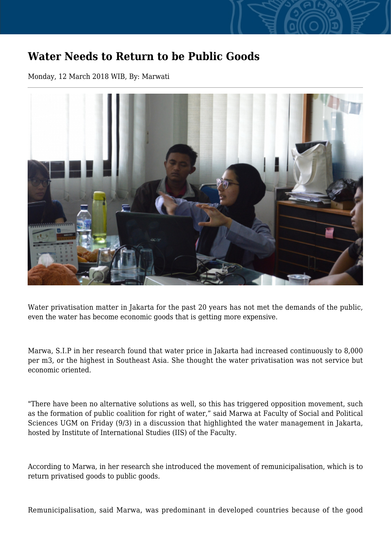## **Water Needs to Return to be Public Goods**

Monday, 12 March 2018 WIB, By: Marwati



Water privatisation matter in Jakarta for the past 20 years has not met the demands of the public, even the water has become economic goods that is getting more expensive.

Marwa, S.I.P in her research found that water price in Jakarta had increased continuously to 8,000 per m3, or the highest in Southeast Asia. She thought the water privatisation was not service but economic oriented.

"There have been no alternative solutions as well, so this has triggered opposition movement, such as the formation of public coalition for right of water," said Marwa at Faculty of Social and Political Sciences UGM on Friday (9/3) in a discussion that highlighted the water management in Jakarta, hosted by Institute of International Studies (IIS) of the Faculty.

According to Marwa, in her research she introduced the movement of remunicipalisation, which is to return privatised goods to public goods.

Remunicipalisation, said Marwa, was predominant in developed countries because of the good